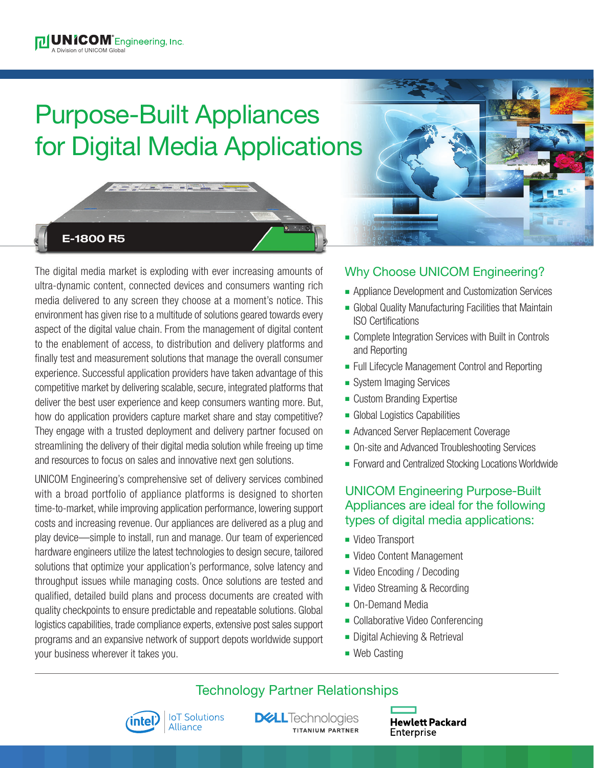# Purpose-Built Appliances for Digital Media Applications



The digital media market is exploding with ever increasing amounts of ultra-dynamic content, connected devices and consumers wanting rich media delivered to any screen they choose at a moment's notice. This environment has given rise to a multitude of solutions geared towards every aspect of the digital value chain. From the management of digital content to the enablement of access, to distribution and delivery platforms and finally test and measurement solutions that manage the overall consumer experience. Successful application providers have taken advantage of this competitive market by delivering scalable, secure, integrated platforms that deliver the best user experience and keep consumers wanting more. But, how do application providers capture market share and stay competitive? They engage with a trusted deployment and delivery partner focused on streamlining the delivery of their digital media solution while freeing up time and resources to focus on sales and innovative next gen solutions.

UNICOM Engineering's comprehensive set of delivery services combined with a broad portfolio of appliance platforms is designed to shorten time-to-market, while improving application performance, lowering support costs and increasing revenue. Our appliances are delivered as a plug and play device—simple to install, run and manage. Our team of experienced hardware engineers utilize the latest technologies to design secure, tailored solutions that optimize your application's performance, solve latency and throughput issues while managing costs. Once solutions are tested and qualified, detailed build plans and process documents are created with quality checkpoints to ensure predictable and repeatable solutions. Global logistics capabilities, trade compliance experts, extensive post sales support programs and an expansive network of support depots worldwide support your business wherever it takes you.

## Why Choose UNICOM Engineering?

- **-** Appliance Development and Customization Services
- **Example 2** Global Quality Manufacturing Facilities that Maintain ISO Certifications
- Complete Integration Services with Built in Controls and Reporting
- Full Lifecycle Management Control and Reporting
- System Imaging Services
- Custom Branding Expertise
- **n** Global Logistics Capabilities
- **Advanced Server Replacement Coverage**
- On-site and Advanced Troubleshooting Services
- Forward and Centralized Stocking Locations Worldwide

### UNICOM Engineering Purpose-Built Appliances are ideal for the following types of digital media applications:

- Video Transport
- Video Content Management
- Video Encoding / Decoding
- Video Streaming & Recording
- On-Demand Media
- Collaborative Video Conferencing
- **Digital Achieving & Retrieval**
- $\blacksquare$  Web Casting

## Technology Partner Relationships



**DGLL**Technologies **TITANIUM PARTNER**